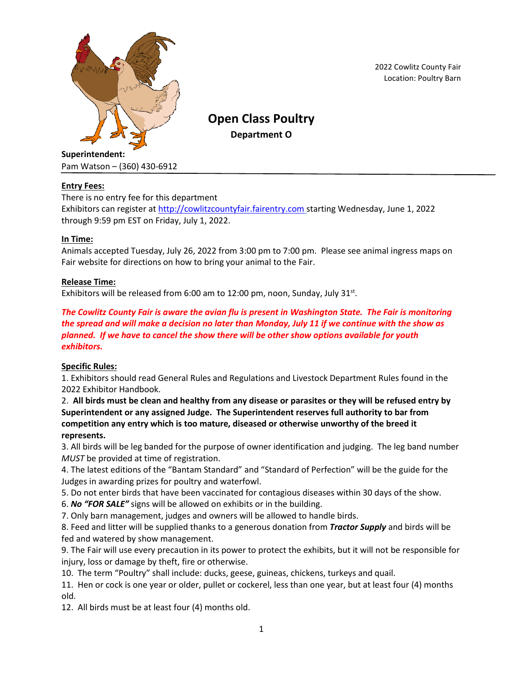

2022 Cowlitz County Fair Location: Poultry Barn

# **Open Class Poultry**

**Department O**

# Pam Watson – (360) 430-6912

# **Entry Fees:**

There is no entry fee for this department

Exhibitors can register at [http://cowlitzcountyfair.fairentry.com](http://cowlitzcountyfair.fairentry.com/) starting Wednesday, June 1, 2022 through 9:59 pm EST on Friday, July 1, 2022.

# **In Time:**

Animals accepted Tuesday, July 26, 2022 from 3:00 pm to 7:00 pm. Please see animal ingress maps on Fair website for directions on how to bring your animal to the Fair.

# **Release Time:**

Exhibitors will be released from 6:00 am to 12:00 pm, noon, Sunday, July 31 $^{\text{st}}$ .

# *The Cowlitz County Fair is aware the avian flu is present in Washington State. The Fair is monitoring the spread and will make a decision no later than Monday, July 11 if we continue with the show as planned. If we have to cancel the show there will be other show options available for youth exhibitors.*

# **Specific Rules:**

1. Exhibitors should read General Rules and Regulations and Livestock Department Rules found in the 2022 Exhibitor Handbook.

2. **All birds must be clean and healthy from any disease or parasites or they will be refused entry by Superintendent or any assigned Judge. The Superintendent reserves full authority to bar from competition any entry which is too mature, diseased or otherwise unworthy of the breed it represents.**

3. All birds will be leg banded for the purpose of owner identification and judging. The leg band number *MUST* be provided at time of registration.

4. The latest editions of the "Bantam Standard" and "Standard of Perfection" will be the guide for the Judges in awarding prizes for poultry and waterfowl.

5. Do not enter birds that have been vaccinated for contagious diseases within 30 days of the show.

6. *No "FOR SALE"* signs will be allowed on exhibits or in the building.

7. Only barn management, judges and owners will be allowed to handle birds.

8. Feed and litter will be supplied thanks to a generous donation from *Tractor Supply* and birds will be fed and watered by show management.

9. The Fair will use every precaution in its power to protect the exhibits, but it will not be responsible for injury, loss or damage by theft, fire or otherwise.

10. The term "Poultry" shall include: ducks, geese, guineas, chickens, turkeys and quail.

11. Hen or cock is one year or older, pullet or cockerel, less than one year, but at least four (4) months old.

12. All birds must be at least four (4) months old.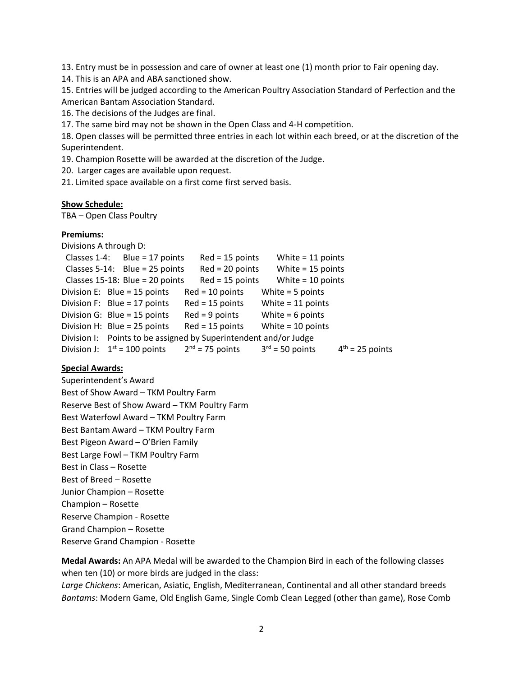13. Entry must be in possession and care of owner at least one (1) month prior to Fair opening day.

14. This is an APA and ABA sanctioned show.

15. Entries will be judged according to the American Poultry Association Standard of Perfection and the American Bantam Association Standard.

16. The decisions of the Judges are final.

17. The same bird may not be shown in the Open Class and 4-H competition.

18. Open classes will be permitted three entries in each lot within each breed, or at the discretion of the Superintendent.

19. Champion Rosette will be awarded at the discretion of the Judge.

20. Larger cages are available upon request.

21. Limited space available on a first come first served basis.

#### **Show Schedule:**

TBA – Open Class Poultry

# **Premiums:**

Divisions A through D:

```
Classes 1-4: Blue = 17 points Red = 15 points White = 11 points
Classes 5-14: Blue = 25 points Red = 20 points White = 15 points
Classes 15-18: Blue = 20 points Red = 15 points White = 10 points
Division E: Blue = 15 points Red = 10 points White = 5 points
Division F: Blue = 17 points Red = 15 points White = 11 points
Division G: Blue = 15 points Red = 9 points White = 6 points
Division H: Blue = 25 points Red = 15 points White = 10 points
Division I: Points to be assigned by Superintendent and/or Judge
Division J: 1<sup>st</sup> = 100 points 2
                               2<sup>nd</sup> = 75 points
                                                   3<sup>rd</sup> = 50 points
                                                                      4<sup>th</sup> = 25 points
```
# **Special Awards:**

Superintendent's Award Best of Show Award – TKM Poultry Farm Reserve Best of Show Award – TKM Poultry Farm Best Waterfowl Award – TKM Poultry Farm Best Bantam Award – TKM Poultry Farm Best Pigeon Award – O'Brien Family Best Large Fowl – TKM Poultry Farm Best in Class – Rosette Best of Breed – Rosette Junior Champion – Rosette Champion – Rosette Reserve Champion - Rosette Grand Champion – Rosette Reserve Grand Champion - Rosette

**Medal Awards:** An APA Medal will be awarded to the Champion Bird in each of the following classes when ten (10) or more birds are judged in the class:

*Large Chickens*: American, Asiatic, English, Mediterranean, Continental and all other standard breeds *Bantams*: Modern Game, Old English Game, Single Comb Clean Legged (other than game), Rose Comb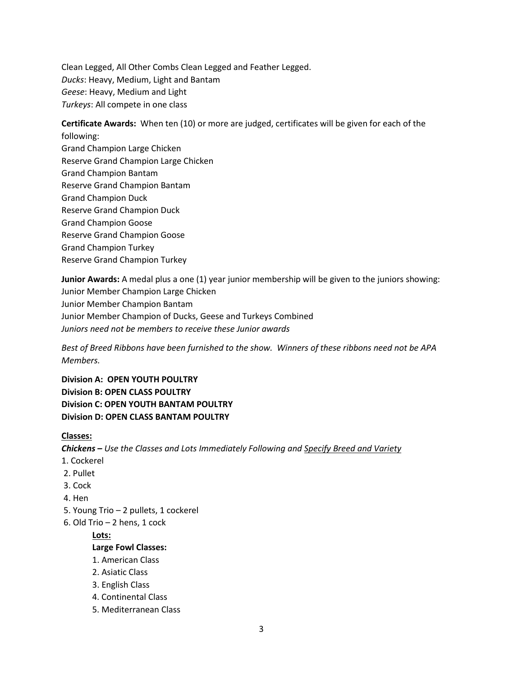Clean Legged, All Other Combs Clean Legged and Feather Legged. *Ducks*: Heavy, Medium, Light and Bantam *Geese*: Heavy, Medium and Light *Turkeys*: All compete in one class

**Certificate Awards:** When ten (10) or more are judged, certificates will be given for each of the following: Grand Champion Large Chicken Reserve Grand Champion Large Chicken Grand Champion Bantam

- Reserve Grand Champion Bantam
- Grand Champion Duck
- Reserve Grand Champion Duck
- Grand Champion Goose
- Reserve Grand Champion Goose
- Grand Champion Turkey
- Reserve Grand Champion Turkey

**Junior Awards:** A medal plus a one (1) year junior membership will be given to the juniors showing: Junior Member Champion Large Chicken Junior Member Champion Bantam Junior Member Champion of Ducks, Geese and Turkeys Combined *Juniors need not be members to receive these Junior awards*

*Best of Breed Ribbons have been furnished to the show. Winners of these ribbons need not be APA Members.*

**Division A: OPEN YOUTH POULTRY Division B: OPEN CLASS POULTRY Division C: OPEN YOUTH BANTAM POULTRY Division D: OPEN CLASS BANTAM POULTRY**

# **Classes:**

*Chickens – Use the Classes and Lots Immediately Following and Specify Breed and Variety*

- 1. Cockerel
- 2. Pullet
- 3. Cock
- 4. Hen
- 5. Young Trio 2 pullets, 1 cockerel
- 6. Old Trio 2 hens, 1 cock

**Lots:**

# **Large Fowl Classes:**

- 1. American Class
- 2. Asiatic Class
- 3. English Class
- 4. Continental Class
- 5. Mediterranean Class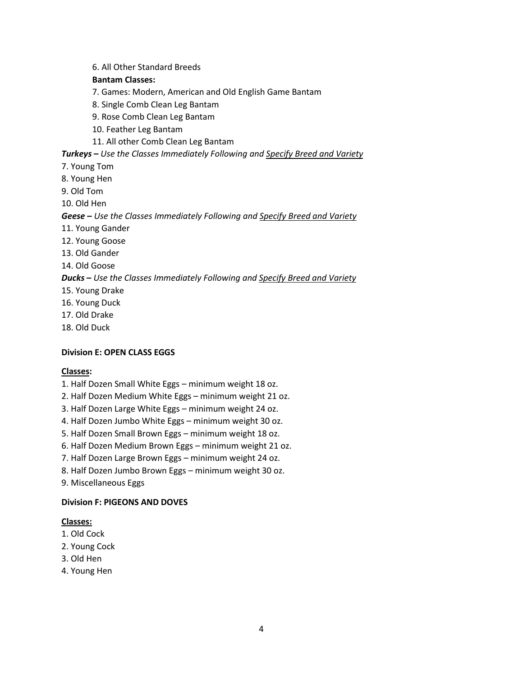6. All Other Standard Breeds

# **Bantam Classes:**

7. Games: Modern, American and Old English Game Bantam

- 8. Single Comb Clean Leg Bantam
- 9. Rose Comb Clean Leg Bantam
- 10. Feather Leg Bantam
- 11. All other Comb Clean Leg Bantam

#### *Turkeys* **–** *Use the Classes Immediately Following and Specify Breed and Variety*

- 7. Young Tom
- 8. Young Hen
- 9. Old Tom
- 10. Old Hen

#### *Geese* **–** *Use the Classes Immediately Following and Specify Breed and Variety*

- 11. Young Gander
- 12. Young Goose
- 13. Old Gander
- 14. Old Goose

#### *Ducks* **–** *Use the Classes Immediately Following and Specify Breed and Variety*

- 15. Young Drake
- 16. Young Duck
- 17. Old Drake
- 18. Old Duck

#### **Division E: OPEN CLASS EGGS**

#### **Classes:**

- 1. Half Dozen Small White Eggs minimum weight 18 oz.
- 2. Half Dozen Medium White Eggs minimum weight 21 oz.
- 3. Half Dozen Large White Eggs minimum weight 24 oz.
- 4. Half Dozen Jumbo White Eggs minimum weight 30 oz.
- 5. Half Dozen Small Brown Eggs minimum weight 18 oz.
- 6. Half Dozen Medium Brown Eggs minimum weight 21 oz.
- 7. Half Dozen Large Brown Eggs minimum weight 24 oz.
- 8. Half Dozen Jumbo Brown Eggs minimum weight 30 oz.
- 9. Miscellaneous Eggs

#### **Division F: PIGEONS AND DOVES**

#### **Classes:**

- 1. Old Cock
- 2. Young Cock
- 3. Old Hen
- 4. Young Hen